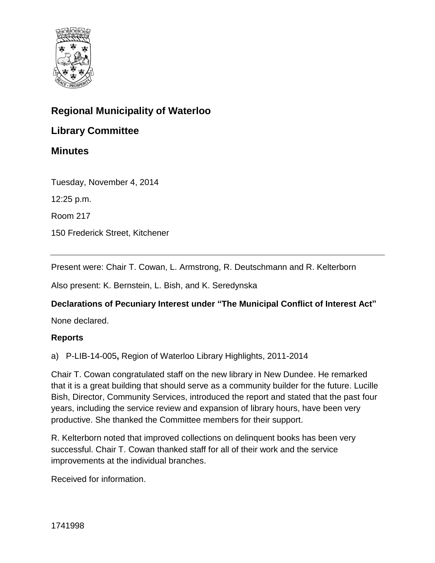

# **Regional Municipality of Waterloo**

## **Library Committee**

## **Minutes**

Tuesday, November 4, 2014

12:25 p.m.

Room 217

150 Frederick Street, Kitchener

Present were: Chair T. Cowan, L. Armstrong, R. Deutschmann and R. Kelterborn

Also present: K. Bernstein, L. Bish, and K. Seredynska

## **Declarations of Pecuniary Interest under "The Municipal Conflict of Interest Act"**

None declared.

#### **Reports**

a) P-LIB-14-005**,** Region of Waterloo Library Highlights, 2011-2014

Chair T. Cowan congratulated staff on the new library in New Dundee. He remarked that it is a great building that should serve as a community builder for the future. Lucille Bish, Director, Community Services, introduced the report and stated that the past four years, including the service review and expansion of library hours, have been very productive. She thanked the Committee members for their support.

R. Kelterborn noted that improved collections on delinquent books has been very successful. Chair T. Cowan thanked staff for all of their work and the service improvements at the individual branches.

Received for information.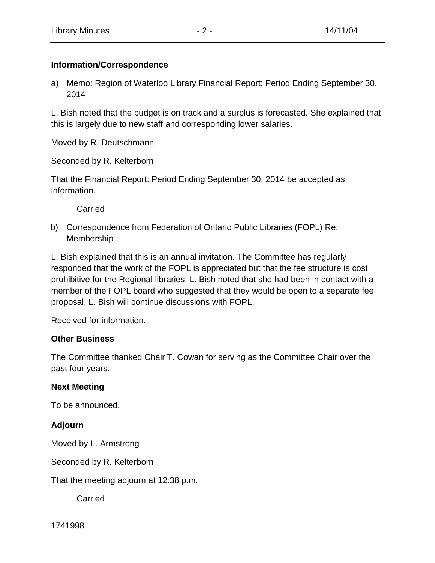## **Information/Correspondence**

a) Memo: Region of Waterloo Library Financial Report: Period Ending September 30, 2014

L. Bish noted that the budget is on track and a surplus is forecasted. She explained that this is largely due to new staff and corresponding lower salaries.

Moved by R. Deutschmann

Seconded by R. Kelterborn

That the Financial Report: Period Ending September 30, 2014 be accepted as information.

Carried

b) Correspondence from Federation of Ontario Public Libraries (FOPL) Re: Membership

L. Bish explained that this is an annual invitation. The Committee has regularly responded that the work of the FOPL is appreciated but that the fee structure is cost prohibitive for the Regional libraries. L. Bish noted that she had been in contact with a member of the FOPL board who suggested that they would be open to a separate fee proposal. L. Bish will continue discussions with FOPL.

Received for information.

## **Other Business**

The Committee thanked Chair T. Cowan for serving as the Committee Chair over the past four years.

## **Next Meeting**

To be announced.

## **Adjourn**

Moved by L. Armstrong

Seconded by R. Kelterborn

That the meeting adjourn at 12:38 p.m.

**Carried**